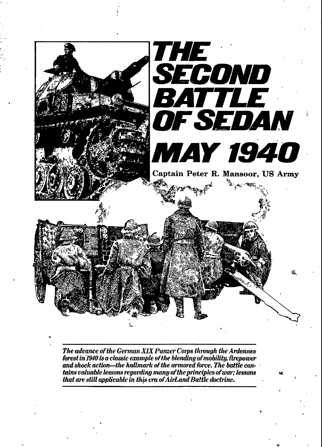

The advance of the German XIX Panzer Corps through the Ardennes forest in 1940 is a classic example of the blending of mobility, firepower and shock action—the hallmark of the armored force. The battle contains valuable lessons regarding many of the principles of war; lessons that are still applicable in this era of AirLand Battle doctrine.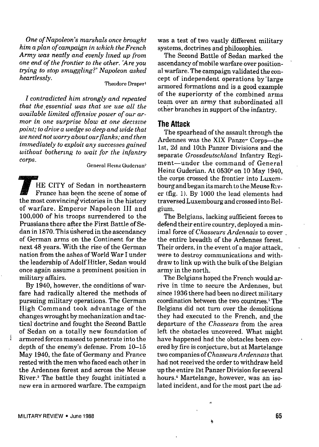*One of Napoleon's marshals once brought him a plan of campaign in which the French* Army was *neatly and evenly Imed up from one end of the frontier to the other. 'Are you t~ing to stop smuggling?' Napoleon asked heartlessly.*

#### Theodore Draper<sup>1</sup>

*I contradicted him strongly and repeated that the, essential was that we use all the auailable limited offensive power of our armor in one surprise blow at one deczszue point; to drive a wedge so deep and wide that we need not worry about our fi'anks; and then immediately to exploit any successes gained without bothering to wait for the infantry corps.*

General Heinz Guderian<sup>2</sup>

**HE CITY** of Sedan in northeastern France has been the scene of some of the most convincing victories in the history of warfare. Emperor Napoleon 111 and 100,000 of his troops surrendered to the Prussians there after the First Battle of Sedan in 1870.This ushered in the ascendancy of German arms on the Continent for the next 48 years. "With the rise of the German nation from the ashes of World War I under the leadership of Adolf Hitler, Sedan would once again assume a prominent position in military affairs.

By 1940, however, the conditions of warfare had radically altered the methods of pursuing military operations. The German High Command took advantage of the changes wrought by mechanization and tactical' doctrine and fought the Second Battle of Sedan on a totally new foundation of armored forces massed to penetrate into the depth of the enemy's defense. From 10-15 May 1940, the fate of Germany and France rested with the men who faced each other in the Ardennes forest and across the Meuse River.\$ The battle they fought initiated a new era in armored warfare. The campaign

was a test of two vastly different military systems, doctrines and philosophies.

The Second Battle of Sedan marked the ascendancy of mobile warfare over positional warfare. The campaign validated the concept of independent operations by"large armored formations and is a good example of the superiority of the combined arms team over an army that subordinated all other branches in support of the infantry.

### **The Attack**

The spearhead of the assault through the Ardennes was the XIX Panzer Corps-the lst,2d and 10th Panzer Divisions and the separate *Grossdeutschland* Infantry Regiment—under the command of General Heinz Guderian. At 0530<sup>4</sup> on 10 May 1940. the corps crossed the frontier into Luxembourg andbegan its marchto the Meuse River (fig. 1). By 1000 the lead elements had traversed Luxembourg and crossed into Belgium.

The Belgians, lacking sufficient forces to defend their entire country, deployed a minimal force *of Chasseurs Ardennais* to cover the entire breadth of the Ardennes forest. Their orders, in the event of a major attack were to destroy communications and withdraw to link up with the bulk of the Belgian army in the north.

The Belgians hoped the French would arrive in time to secure the Ardennes, but since 1936 there had been no direct military coordination between the two countries.<sup>5</sup> The Belgians did not turn over the demolitions they had executed to the French, and the departure of the *Chasseurs* from the area left the obstacles uncovered. What might have happened had the obstacles been covered by fire is conjecture, but at Martelange two companies of *Chasseurs Ardennazs* that had not received the order to withdraw held up the entire l'st Panzer Division for several hours.' Martelange, however, was an iso. lated incident, and for the most part the ad.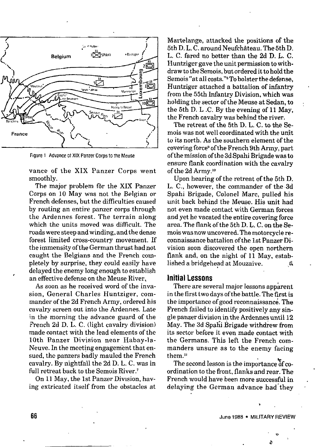

Figure 1 Advance of XIX Panzer Corps to the Meuse

vance of the XIX Panzer Corps went smoothly.

The major problem for the XIX Panzer Corps on 10 May was not the Belgian or French defenses, but the difficulties caused by routing an entire panzer corps through the Ardennes forest. The terrain along which the units moved was difficult. The roadswere steep and winding, and the dense forest limited cross-country movement. If the immensity of the German thrust had not caught the Belgiane and the French completely by surprise, they could easily have delayed the enemy long enough to establish an effective defense on the Meuse River.

As soon as he received word of the invasion, General Charles Huntziger, commander of the 2d French Army, ordered bis cavalry screen out into the Ardennes. Late in the morning the advance guard of the French 2d D, L. C. (light cavalry division) made contact with the lead elements of tbe 10th Panzer Division near Habay-la-Neuve. In the meeting engagement that ensued, the panzers badly mauled the French cavalry. By nightfall the 2d D. L. C. was in full retreat back to the Semois River.<sup>7</sup>

On 11 May, tbe 1st Panzer Division, having extricated itself from the obstacles at Martelange, attacked the positions of the 5th D.L. C. around Neufchâteau. The 5th D. L, C. fared no better than the 2d D. L. C. Huntziger gave the unit permission to withdraw to the Semois, but ordered it to hold the Semois "at all costs."8To bolster the defense,  $H_{\text{H}}$  at all costs. To boister the defense, from the 55th Infantry Division, which was contained by the 55th Infantry from the 55th Infantry Division, which was<br>holding the sector of the Meuse at Sedan, to the 5th D. L .C. By the evening of 11 May, the French cavalry was behind the river.

The retreat of the 5th D. L. C. to the Semois was not well coordinated with the unit to its north. As the southern element of the covering force<sup>s</sup> of the French 9th Army, part ofthemission ofthe 3dSpahi Brigade was to ensure flank coordination with the cavalry of the 2d Army.<sup>10</sup>

Upon hearing of the retreat of the 5th D. L. C., however, the commander of the 3d Spahi Brigade, Colonel Marc, pulled his unit back behind the Meuse. Hie unit had not even made contact with German forces and yet he vacated the entire covering force area. The flank of the 5th D. L. C. on the Semois was nowuncovered.The motorcycle reconnaissance battalion ofthe 1stPanzer Division soon discovered the open northern flank and may be called the open normers liam and, on the might of 11 may, estab-

#### **Initial Lessons**

There are several major lessons app.<br>There are several major lessons app app app and the several major lessons app app app app app app app app app in the first two days of the first *is*  $\alpha$  is the first *is*  $\alpha$  is *in*  $\alpha$ in the first two days of the battle. The first is<br>the importance of good reconnaissance. The French failed to identify positively any single panzer division in the Ardennes until 12 May. The 3d Spafii Brigade withdrew from its sector before it even made contact with the Germans. This left the French comme dermand. This felt the Prench com- $\frac{1}{1}$ .....

them.<sup>11</sup><br>The second lesson is the importance of coordination to the front, flanks and rear. The  $F_{\rm{max}}$  is a more successful in more successful in  $F_{\rm{max}}$  in  $F_{\rm{max}}$ dele, you'll have been more successful the German and the Successful theory

4'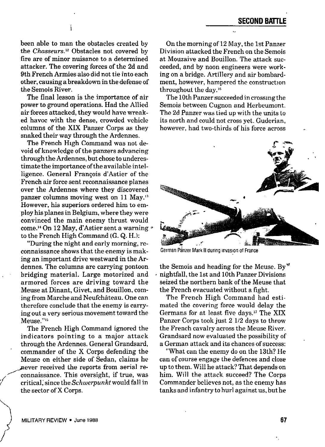been able to man the obstacles created by the *Chasseurs.lz* Obstacles not covered by fire are of minor nuisance to a determined attacker. The covering forces of the 2d and 9th French Armies also did not tie into each other, causing a breakdown in the defense of the Semois River.

i

The final lesson is the importance of air power to ground operations. Had the Allied air forces attacked, they would have wreaked havoc with the dense, crowded vehicle columns of the XIX Panzer Corps as they snaked their way through the Ardennes.

The French High Command was not devoid of knowledge of the panzers advancing through the Ardennes, but chose to underestimate the importance ofthe available intelligence. General Francois d'Astier of the French air force sent reconnaissance planes over the Ardennes where they discovered panzer columns moving west on 11 May." However, his superiors ordered him to employ his planes in Belgium, where they were convinced the main enemy thrust would come.<sup>14</sup> On 12 May, d'Astier sent a warning \* to the French High Command (G. Q. H.):

"During the night and early morning, reconnaissance shows that the enemy is making an important drive westward in the Ardennes. The columns are carrying pontoon bridging material. Large motorized and armored forces are driving toward the Meuse at Dinant, Givet, and Bouillon, coming from Marche and Neufchâteau. One can therefore conclude that the enemy is carrying out a very serious movement toward the Meuse."<sup>16</sup>

The French High Command ignored the indicators pointing to a major attack through the Ardennes. General Grandsard, commander of the X Corps defending the Meuse on either side of Sedan, claims he ~er received the reports from aerial re connaissance. This oversight, if true, was critical, since the *Sch werpunkt* would fall in the sector of X Corps.

On the morning of 12 May, the 1st Panzer Division attacked the French on the Semois at Mouzaive and Bouillon. The attack succeeded, and by noon engineers were working on a bridge. Artillery and air bombardment, however, hampered the construction throughout the day. $16$ 

The 10th Panzer succeeded in crossing the Semois between Cugnon and Herbeumont. The 2d Panzer was tied up with the units to its north and could not cross yet. Guderian, however, had two-thirds of his force across



German Panzer Mark II during invasion of France

the Semois and heading for the Meuse. By nightfall, the 1st and 10th Panzer Divisions seized the northern bank of the Meuse that the French evacuated without a fight.

The French High Command had estimated the covering force would delay the Germans for at least five days." The XIX Panzer Corps took just 2 1/2 days to throw the French cavalry across the Meuse River. Grandsard now evaluated the possibility of a German attack and its chances of success:

"what can the enemy do on the 13th? He can of course engage the defences and close up to them. Will he attack? That depends on him. WiIl the attack succeed? The Corps Commander believes not, as the enemy has tanks and infantry to hurl against us, but he

*;{*

**)**

./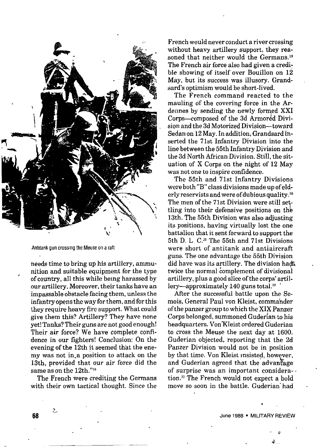

Antitank gun crossing the Meuse on a ratl

needs time to bring up his artillery, ammunition and suitable equipment for the type of country, all this while being harassed by our artillery. Moreover, their tanks have an impassable obstacle facing them, unless the infantry opens the way for them, and for this they require heavy fire support. what could give them this? Artillery? They have none yet! Tanks? Their guns are not good enough! Their air force? We have complete confidence in our fighters! Conclusion: On the evening of the 12th it seemed that the enemy was not in.a position to attack on the 13th, provided that our air force did the same as on the 12th."<sup>18</sup>

The French were crediting the Germans with their own tactical thought. Since the

—

Frenchwould never conduct a river crossing without heavy artillery support, they reasoned that neither would the Germans.<sup>19</sup> The French air force also had given a credible showing of itself over Bouillon on 12 May, but its success *was* illusory. Grandsard's optimism would be short-lived.

The French command reacted to the mauling of the covering force in the Ardennes by sending the newly formed XXI Corps-composed of the 3d Armored Division and the 3d Motorized Division—toward Sedanon 12May. Inaddition, Grandsard inserted the 71st Infantry Division into the line between the 55th Infantry Division and the 3d North African Division. Still, the situation of X Corps on the night of 12 May was not one to inspire confidence.

The 55th and 71st Infantry Divisions were both "B" class divisions made up of elderly reservists and were of dubious quality.<sup>20</sup> The men of the 71st Division were still settling into their defensive positions on the 13th. The 55th Division was also adjusting its positions, having virtually lost the one battalion that it sent forward to support the 5th D. L C." The 55th and 7Ist Divisions were short of antitank and antiaircraft guns. The one advantage the 55th Division did have was its artillery. The division had? twice tbe normal complement of divisional artillery, plus a good slice of the corps' artillery—approximately 140 guns total. $22$ 

After the successful battle upon the Semois, General Paul von Klejst, commahder ofthe panzer group to which the XIX Panzer Corps belonged, summoned Guderian to his headquarters. Von Kleist ordered Guderian to cross the Meuse the next day at 1600. Guderian objected, reporting that the 2d Panzer Division would not be in position by that time. Von Kleist Insisted, however, and Guderian agreed that the advantage of surprise was an important considers-. ' tion." The French would not expect a bold move so soon in the battle. Guderian' had

> . June 1988 . MILITARY REVIEW

,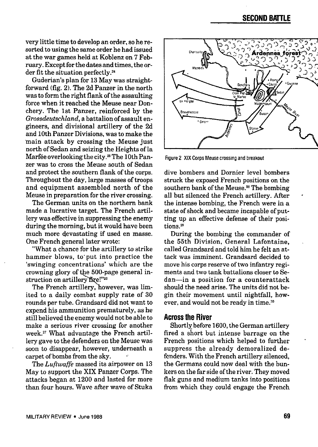# **SECOND BATTLE**

very little time to develop an order, so he resorted to using the same order he had issued at the war games held at Koblenz on 7 February. Except for the dateeand times, the order fit the situation perfectly.<sup>24</sup>

Guderian's plan for 13 May was straightforward (fig. 2). The 2d Panzer in the north was to form the right flank of the assaulting force when it reached the Meuse near Donchery. The 1st Panzer, reinforced by the Grossdeutschland, a battalion of assault engineers, and divisional artillery of the 2d and 10th Panzer Divisions, was to make the main attack by crossing the Meuse just north of Sedan and seizing the Heights of la Marfée overlooking the city.<sup>25</sup> The 10th Panzer was to cross the Meuse south of Sedan and protect the southern flank of the corps. Throughout the day, large masses of troops and equipment assembled north of the Meuse in preparation for the river crossing.

The German units on the northern bank made a lucrative target. The French artillery was effective in suppressing the enemy during the morning, but it would have been much more devastating if used en masse. One French general later wrote:

What a chance for the artillery to strike hammer blows, to"put into practice the 'swinging concentrations' which are the crowning glory of the 500-page general instruction on artillery fire!"<sup>26</sup>

The French artillery, however, was limited to a daily combat supply rate of 30 rounds per tube. Grandsard did not want to expend his ammunition prematurely, as he still believed the enemy would not he able to make a serious river crossing for another week.<sup>27</sup> What advantage the French artillery gave to the defenders on the Meuse was soon to disappear, however, underneath a carpet of bombs from the sky.

The Luftwaffe massed ite *airpower* on 13 May to support the XIX Panzer Corps. The attacks began at 1200 and lasted for more than four hours. Wave after wave of Stuka



Figure2 XIX Corps Meusecrossing and breakout

dive bombers and Dornier level bombers struck the exposed French positions on the southern bank of the Meuse.<sup>28</sup> The bombing all but silenced the French artillery. After the intense bombing, the French were in a state of shock and became incapable of putting up an effective defense of their positions.<sup>29</sup>

During the bombing the commander of the 55th Division, General Lafontaine, called Grandsard and told him he felt an attack was imminent. Grandsard decided to move his corps reserve of two infantry regiments and two tank battalions closer to Sedan—in a position for a counterattack should the need arise. The units did not begin their movement until nightfall, however, and would not be ready in time.<sup>30</sup>

## **Across the River**

Shortly before 1600, the German artillery fired a short but intense barrage on the French positions which helped to further suppress the already demoralized defenders. With the French artillery silenced, the Germans could now deal with the bunkers on the far side of the river. They moved flak guns and medium tanks into positions from which they could engage the French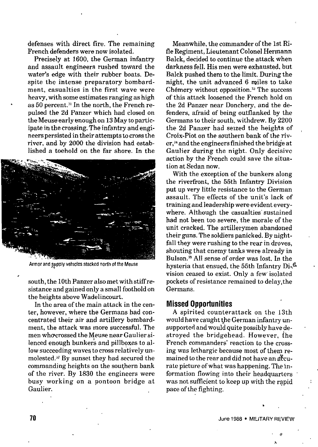defenses with direct fire. The remaining French defenders were now isolated.

Precisely at 1600, the German infantry and assault engineers rushed toward the water's edge with their rubber boats. Despite the intense preparatory bombardment, casualties in the first wave were heavy, with some estimates ranging as high as 50 percent.<sup>31</sup> In the north, the French repulsed the 2d Panzer which had closed on the Meuse early enough on 13May to participate in the crossing. The infantry and engineers persisted in their attempts to cross the river, and by *2000* the division had established a toehold on the far shore. In the



Armor and supply vehicles stacked north of the Meuse

south, the 10th Panzer also met with stiff resistance and gained only a small foothold on the heights above Wadelincourt.

In the area of the main attack in the center, however, where the Germans had concentrated their air and artillery bombardment, the attack was more successful. The men who crossed the Meuse near Gaulier silenced enough bunkers and pillboxes to allow succeeding waves to cross relatively unmolested.<sup>32</sup> By sunset they had secured the commanding heights on the southern bank of the river. By 1830 the engineers were busy working on a pontoon bridge at Gaulier.

Meanwhile, the commander of the 1st Rifle Regiment, Lieutenant Colonel Hermann Balck, decided to continue the attack when darkness fell. His men were exhausted, but Balck pushed them to the limit. During the night, the unit advanced 6 miles to take Ch6mery without opposition." The success of this attack loosened the French hold *on* the 2d Panzer near Donchery, and the defenders, afraid of being outflanked by the Germans to their south, withdrew. By 2200 the 2d Panzer had seized the heights of Croix-Piot on the southern bank of the river,<sup>34</sup> and the engineers finished the bridge at Gaulier during the night. Only decisive action by the French could save the situation at Sedan now.

With the exception of the hunkers along the riverfront, the 55th Infantry Division put up very little resistance to the German assault. The effects of the unit's lack of training and leadership were evident everywhere. Although the casualties' sustained had not been too severe, the morale of the unit cracked. The artillerymen abandoned their guns. The soldiers panicked. By nightfall they were rushing to the rear in droves, shouting that enemy tanks were already in Bulson.3'All sense of order was lost. In the hysteria that ensued, the 55th Infantry Di-<sup>43</sup> vision ceased to exist. Only a few isolated pockets of resistance remained to delay,the Germans.

#### **Missed Opportunities**

A spirited counterattack on the 13th would have caught the German infantry unsupported andwould quite possibly have destroyed the bridgehead. However, the French commanders' reaction to the crossing was lethargic because most of them remained to the rear and did not have an accurate picture of what was happening. The information flowing into their headquarters was not sufficient to keep up with the rapid pace of the fighting.

.,

,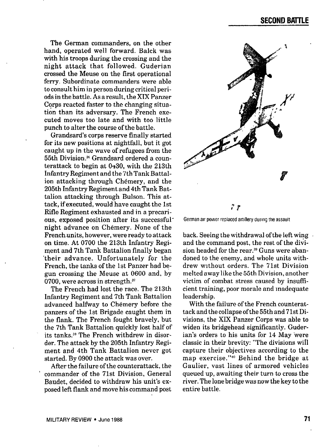The German commanders, on the other hand, operated well forward. Balck was with his troops during the crossing and the night attack that followed. Guderian crossed the Meuse on the first operational ferry. Subordinate commanders were able to consult him in person during critical periods in the battle. As a result, the XIX Panzer Corps reacted faster to the changing situation than its adversary. The French executed moves too late and with too little punch to alter the course of the battle.

Grandsard's corps reserve finally started for its new positions at nightfall, but it got caught up in the wave of refugees from the 55th Divieion?' Grandsard ordered a counterattack to begin at  $0430$ , with the  $213th$ Infantry Regiment and the 7th Tank Battalion attacking through Chémery, and the 205th Infantry Regiment and 4th Tank Battalion attacking through Bulson. This attack, if executed, would have caught the 1st Rifle Regiment exhausted and in a precarious, exposed position after its successfulnight advance on Chemery. None of the French.units, however, were ready to attack on time. At 0700 the 213th Infantry Regiment and 7th Tank Battalion finally began "their advance. Unfortunately for the French, the tanks of the 1st Panzer had begun crossing the Meuse at 0600 and, by 0700, were across in strength."

The French had lost the race. The 213th Infantry Regiment and 7th Tank Battalion advanced halfway to Chémery before the panzers of the Ist Brigade caught them in the flank. The French fought bravely, but the 7th Tank Battalion quickly lost half of its tanks.<sup>38</sup> The French withdrew in disorder. The attack by the 205th Infantry Regiment and 4th Tank Battalion never got started. By 0900 the attack was over.

After the failure of the counterattack, the commander of the 71st Division, General Baudet, decided to withdraw his unit's exposed left flank and move his command post



German air power replaced artillery during the assault

back. Seeing the withdrawal of the left wing. and the command post, the rest of the division headed for the rear.<sup>39</sup> Guns were abandoned to the enemy, and whole units withdrew without orders. The 71st Division melted away like the 55th Division, another victim of combat stress caused by insufficient training, poor morale and inadequate leadership.

With the failure of the French counterattack and the collapse ofthe 55th and 71st Divisions, the XIX Panzer Corps was able to widen its bridgehead significantly. Guderian's orders to his units for 14 May 'were classic in their brevity: "The divisions will capture their objectives according to the map exercise."<sup>40</sup> Behind the bridge at Gaulier, vast lines of armored vehicles queued up, awaiting their turn to cross the river. The lone bridge was nowthekey to the entire battle.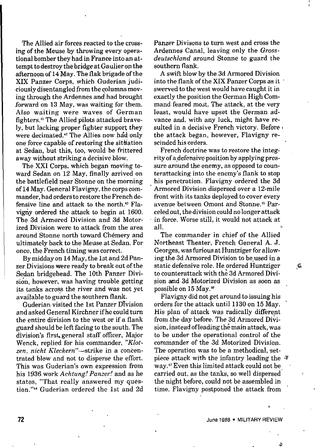The Allied air forces reacted to the crossing of the Meuse by throwing every operational bomber they had in France into an attempt to destroy the bridge at Gaulier on the afternoon of 14 May. The flak brigade of the XIX Panzer Corps, which Guderian judiciously disentangled from the columns moving through the Ardennes and had brought forward on 13 May, was waiting for them. Also waiting were waves of German fighters." The Allied pilots attacked bravely, but lacking proper fighter support they were decimated.<sup>42</sup> The Allies now had only one force capable of restoring the situation at Sedan, but this, too, would be frittered away without striking a decisive blow.

The XXI Corps, which began moving toward Sedan on 12 May, finally arrived on the battlefield near Stonne on the morning of 14May. General Flavigny, the corps commander, had orders to restore the French defensive line and attack to the north. $43$  Flavigny ordered the attack to begin at 1600. The 3d Armored Division and 3d Motorized Division were to attack from the area around Stonne north toward Chémery and ultimately back to the Meuse at Sedan. For once, the French timing was correct.

By midday on 14May, the 1stand 2d Panzer Divisions *were* ready to break out of the Sedan bridgehead. The 10th Panzer Division, however, was having trouble getting its tanks across the river and was not yet available to guard the southern flank.

Guderian visited the 1st Panzer Dfvision and asked General Kirchner if he could turn the entire division to the west or if a flank guard should be left facing to the south. The division's firsL general staff officer, Major Wenck, replied for his commander, *"Klot*zen, nicht Kleckern"—strike in a concentrated blow and not to disperse the effort. This was Guderian's own expression from his 1936 work *Achtung! Panzer!* and as he states, "That really answered my question."<sup>44</sup> Guderian ordered the 1st and 2d Panzer Divisons to turn west and cross the Ardennes Canal, leaving only the *Grossdeutschland* around Stonne to guard the southern flank.

A swift blow by the 3d Armored Division into the flank of the XIX Panzer Corps as it ' swerved to the west would have caught it in exactly the position the German High Command feared most, The attack, at the very least, would have upset the German advance and, with any luck, might have resulted in a decisive French victory. Before the attack began, however, Flavigny rescinded his orders.

French doctrine was to restore the integrity of adefensive position by applying pressure around the enemy, as opposed to counterattacking into tbe enemy's flank to stop . his penetration. Flavigny ordered the 3d Armored Division dispersed over a 12-mile front with its tanks deployed to cover every avenue between Omont and Stonne.<sup>45</sup> Parceled out, the division could no longer attack in force. Worse still, it would not attack at all.  $\blacksquare$ 

The commander *in* chief of the Allied Northeast Theater, French General A. J. Georges, was furious at Huntziger for allowing the 3d Armored Division to be used in a static defensive role. He ordered Huntziger  $\&$ to counterattack with the 3d Armored Division and 3d Motorized Division as soon as possible on 15 May.<sup>46</sup>

Flavigny did not get around to issuing his orders for the attack until 1130 on 15 May. His plan of attack was radically different from the day before. The 3d Armored Division, instead of leading the main attack, was to be under the operational control of the commander of the 3d Motorized Division. The operation was to be a methodical, setpiece attack with the infantry leading the  $\ast$ way." Even this limited attack could not be carried out, as the tanks, so well dispersed the night before, could not be assembled in time. Flavigny postponed the attack from '

The state of the state of the state of the state of the state of the state of the state of the state of the state of the state of the state of the state of the state of the state of the state of the state of the state of t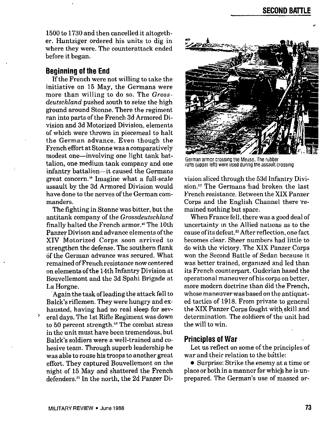1500 to 1730 and then cancelled it altogether. Huntziger ordered his units to dig in where they were. The counterattack ended before it began.

### **Beginning of the End**

Ifthe French were not willing to take the initiative on 15 May, the Germans were more than willing to do so. The *Grossdeutschland* pushed south to seize the high ground around Stonne. There the regiment ran into parts of the French 3d Armored Division and 3d Motorized Division, elements of which were thrown in piecemeal to halt the German advance. Even though the French effort at Stonne was a comparatively modest one-involving one light tank battalion, one medium tank company and one infantry battalion—it caused the Germans great concern." Imagine what a full-scale assault by the 3d Armored Division would have done to the nerves of the German commanders.

The fighting in Stonne was bitter, but the antitank company of the *Grossdeutschland* finally halted the French armor.<sup>49</sup> The 10th Panzer Divison and advance elements of the XIV Motorized Corps soon arrived to strengthen the defense. The southern flank of the German advance was secured. what remained of French resistance now centered on elements ofthe 14th Infantry Division at Bouvellemont and the 3d Spahi Brigade at La Horgne.

Again the task of leading the attack fell to Balck's riflemen. They were hungry and exhausted, having had no real sleep for sev eral days. The 1st Rifle Regiment was down to 50 percent strength. $50$  The combat stress in the unit must have been tremendous, but Balck's soldiers were a well-trained and cohesive team. Through superb leadership he was able to ronse his troops to another great effort. They captured Bouvellemont on the night of 15 May and shattered the French defenders.<sup>51</sup> In the north, the 2d Panzer Di-



German armor crossing the Meuse. The rubber rafts (upper Iett) were used during the assault crossing

vision sliced through the 53d Infantry Division.<sup>52</sup> The Germans had broken the last French resistance. Betweenthe XIX Panzer Corps and the English Channel there 'remained nothing but space.

When France fell, there was a good deal of uncertainty m the Allied nations as to the cause of its defeat.<sup>53</sup> After reflection, one fact becomes clear. Sheer numbers had little to do with the victory. The XIX Panzer Corps won the Second Battle of Sedan because it was better trained, organized and led than its French counterpart. Guderian based the operational maneuver of his corps on better, more modern doctrine than did the French, whose maneuver was based on the antiquated tactics of 1918. From private to general the XIX Panzer Corps fought with skill and determination. The soldiers of the unit had the will to win.

## **Principles of War**

Let us reflect on some of the principles of war and their relation to the battle:

o Surprise Strike the enemy at a time or place or both in a manner for which he is unprepared. The German's use of massed ar-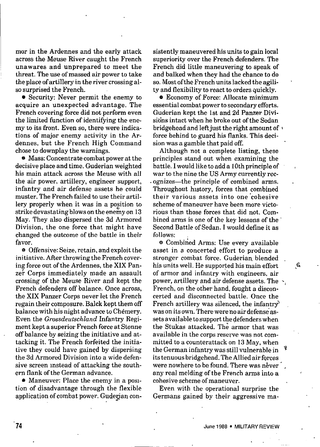mor in the Ardennes and the early attack across the Meuse River caught the French unawares and unprepared to meet the threat. The use of massed air power to take the place of artillery in the river crossing also surprised the French.

**o** Security: Never permit the enemy to acquire an unexpected advantage. The French covering force did not perform even the limited function of identifying the enemy to its front. Even so, there were indications of major enemy activity in the Ardennes, but the French High Command chose to downplay the warnings.

 $\bullet$  Mass: Concentrate combat power at the decisive place and time. Guderian weighted his main attack across the Meuse with all the air power, artillery, engineer support, infantry and air defense assets he could muster. The French failed to use their artillery properly when it was in a position to strike devastating blows on the enemy on 13 May. They also dispersed the 3d Armored Division, the one force that might have changed the outcome of the battle in their favor.

 $\bullet$  Offensive: Seize, retain, and exploit the initiative. After throwing the French *cover*ing force out of the Ardennes, the XIX Panzer Corps immediately made an assault crossing of the Meuse River and kept the French defenders off balance. Once across, the XIX Panzer Corps never let the French regain their composure. Balck kept them off balance with his night advance to Chemery. Even the *Grossdeutschland* Infantry Regiment kept a superior French force at Stonne off balance by seizing the initiative and attacking it. The French forfeited the initiative they could have gained by dispersing the 3d Armored Division into a wide defensive screen *mstead* of attacking the southern flank of the German advance.

e Maneuver: Place the enemy in aposltion of disadvantage through the flexible application of combat power. Guderian consistently maneuvered his units to gain local superiority over the French defenders. The French did little maneuvering to speak of and balked when they had the chance to do so. Most of the French units lacked the agility and flexibility to react to orders quickly.

**e** Economy of Force: Allocate minimum essential combat power to secondary efforts. Guderian kept the 1st and 2d Panzer Divisions intact when he broke out of the Sedan bridgehead and left just the right amount of  $\cdot$ force behind to guard his flanks. This decision was a gamble that paid off.

Although not a complete listing, these principles stand out when examining the battle. I would like to add a 10th principle of war to the nine the US Army currently recognizes—the principle of combined arms. Throughout history, forces that combined their various assets into one'cohesive scheme of maneuver have been more victorious than those forces that did not. Combined arms is one of the key lessons of the Second Battle of Sedan. I would define it as follows:

e Combiried Arms: Use every available asset in a concerted effort to produce a stronger combat force. Guderian blended his units well. He supported his main effort  $\frac{4}{3}$ of armor and infantry with engineers, air power, artillery and air defense assets. The  $\cdot$ , French, on the other hand, fought a disconcerted and disconnected battle. Once the French artillery was silenced, the infantry<sup>5</sup> was on its own.There wereno air defense'assets available to support the defenders when the Stukas attacked. The armor that was available in the corpe reserve was not committed to a counterattack on 13 May, when the German infantry was still vulnerable in its tenuous bridgehead. The Allied air forces were nowhere to be found. There was never any real melding of tbe French arms into a cohesive scheme of maneuver.

Even with the operational surprise the Germans gained by their aggressive ma-

. .